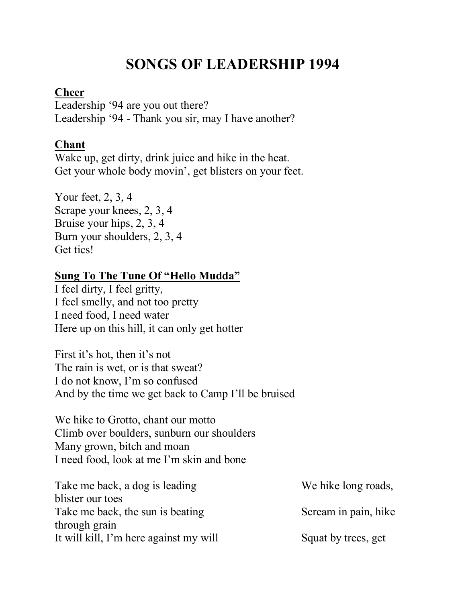# **SONGS OF LEADERSHIP 1994**

#### **Cheer**

Leadership '94 are you out there? Leadership '94 - Thank you sir, may I have another?

# **Chant**

Wake up, get dirty, drink juice and hike in the heat. Get your whole body movin', get blisters on your feet.

Your feet, 2, 3, 4 Scrape your knees, 2, 3, 4 Bruise your hips, 2, 3, 4 Burn your shoulders, 2, 3, 4 Get tics!

### **Sung To The Tune Of "Hello Mudda"**

I feel dirty, I feel gritty, I feel smelly, and not too pretty I need food, I need water Here up on this hill, it can only get hotter

First it's hot, then it's not The rain is wet, or is that sweat? I do not know, I'm so confused And by the time we get back to Camp I'll be bruised

We hike to Grotto, chant our motto Climb over boulders, sunburn our shoulders Many grown, bitch and moan I need food, look at me I'm skin and bone

| Take me back, a dog is leading         | We hike long roads,  |
|----------------------------------------|----------------------|
| blister our toes                       |                      |
| Take me back, the sun is beating       | Scream in pain, hike |
| through grain                          |                      |
| It will kill, I'm here against my will | Squat by trees, get  |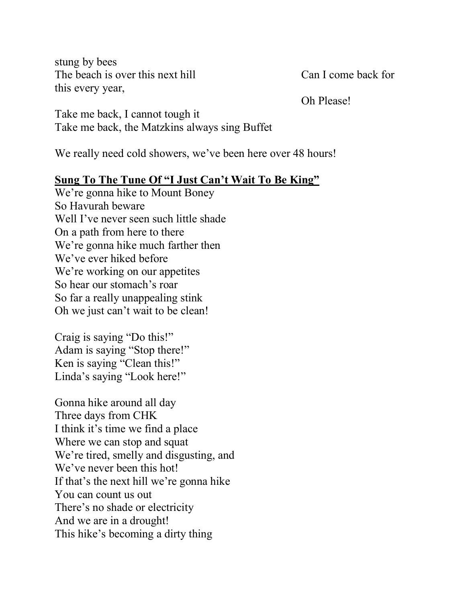stung by bees The beach is over this next hill Can I come back for this every year,

Oh Please!

Take me back, I cannot tough it Take me back, the Matzkins always sing Buffet

We really need cold showers, we've been here over 48 hours!

## **Sung To The Tune Of "I Just Can't Wait To Be King"**

We're gonna hike to Mount Boney So Havurah beware Well I've never seen such little shade On a path from here to there We're gonna hike much farther then We've ever hiked before We're working on our appetites So hear our stomach's roar So far a really unappealing stink Oh we just can't wait to be clean!

Craig is saying "Do this!" Adam is saying "Stop there!" Ken is saying "Clean this!" Linda's saying "Look here!"

Gonna hike around all day Three days from CHK I think it's time we find a place Where we can stop and squat We're tired, smelly and disgusting, and We've never been this hot! If that's the next hill we're gonna hike You can count us out There's no shade or electricity And we are in a drought! This hike's becoming a dirty thing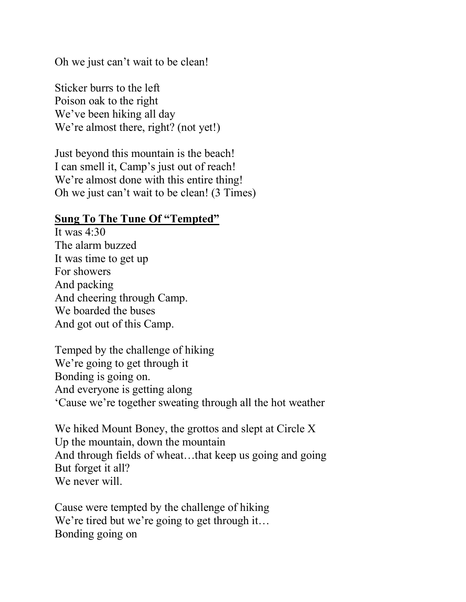Oh we just can't wait to be clean!

Sticker burrs to the left Poison oak to the right We've been hiking all day We're almost there, right? (not yet!)

Just beyond this mountain is the beach! I can smell it, Camp's just out of reach! We're almost done with this entire thing! Oh we just can't wait to be clean! (3 Times)

#### **Sung To The Tune Of "Tempted"**

It was  $4.30$ The alarm buzzed It was time to get up For showers And packing And cheering through Camp. We boarded the buses And got out of this Camp.

Temped by the challenge of hiking We're going to get through it Bonding is going on. And everyone is getting along 'Cause we're together sweating through all the hot weather

We hiked Mount Boney, the grottos and slept at Circle X Up the mountain, down the mountain And through fields of wheat...that keep us going and going But forget it all? We never will.

Cause were tempted by the challenge of hiking We're tired but we're going to get through it... Bonding going on